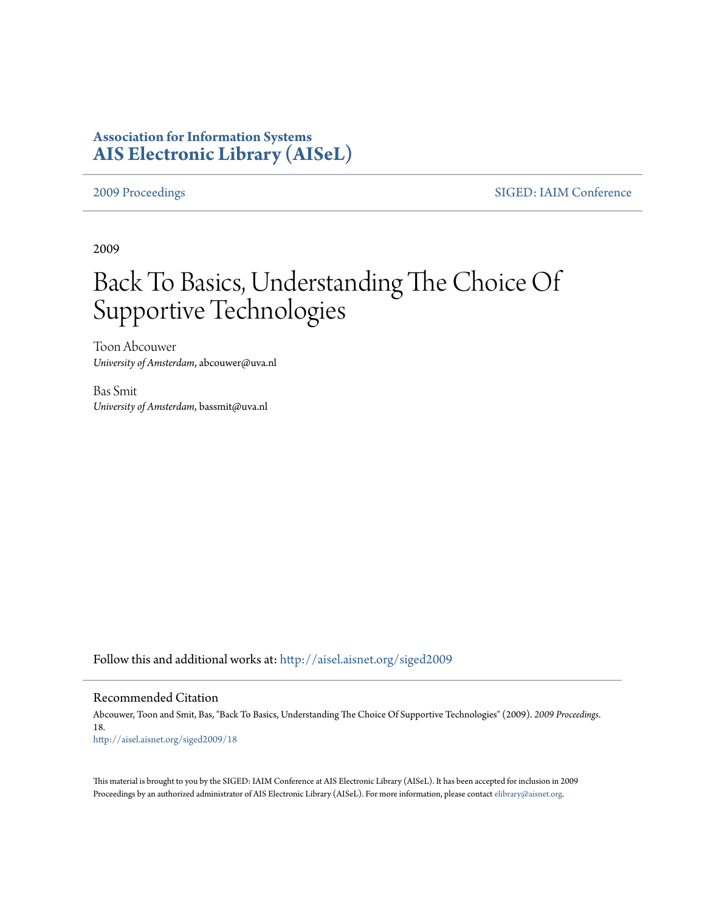### **Association for Information Systems [AIS Electronic Library \(AISeL\)](http://aisel.aisnet.org?utm_source=aisel.aisnet.org%2Fsiged2009%2F18&utm_medium=PDF&utm_campaign=PDFCoverPages)**

[2009 Proceedings](http://aisel.aisnet.org/siged2009?utm_source=aisel.aisnet.org%2Fsiged2009%2F18&utm_medium=PDF&utm_campaign=PDFCoverPages) [SIGED: IAIM Conference](http://aisel.aisnet.org/siged?utm_source=aisel.aisnet.org%2Fsiged2009%2F18&utm_medium=PDF&utm_campaign=PDFCoverPages)

2009

# Back To Basics, Understanding The Choice Of Supportive Technologies

Toon Abcouwer *University of Amsterdam*, abcouwer@uva.nl

Bas Smit *University of Amsterdam*, bassmit@uva.nl

Follow this and additional works at: [http://aisel.aisnet.org/siged2009](http://aisel.aisnet.org/siged2009?utm_source=aisel.aisnet.org%2Fsiged2009%2F18&utm_medium=PDF&utm_campaign=PDFCoverPages)

#### Recommended Citation

Abcouwer, Toon and Smit, Bas, "Back To Basics, Understanding The Choice Of Supportive Technologies" (2009). *2009 Proceedings*. 18. [http://aisel.aisnet.org/siged2009/18](http://aisel.aisnet.org/siged2009/18?utm_source=aisel.aisnet.org%2Fsiged2009%2F18&utm_medium=PDF&utm_campaign=PDFCoverPages)

This material is brought to you by the SIGED: IAIM Conference at AIS Electronic Library (AISeL). It has been accepted for inclusion in 2009 Proceedings by an authorized administrator of AIS Electronic Library (AISeL). For more information, please contact [elibrary@aisnet.org](mailto:elibrary@aisnet.org%3E).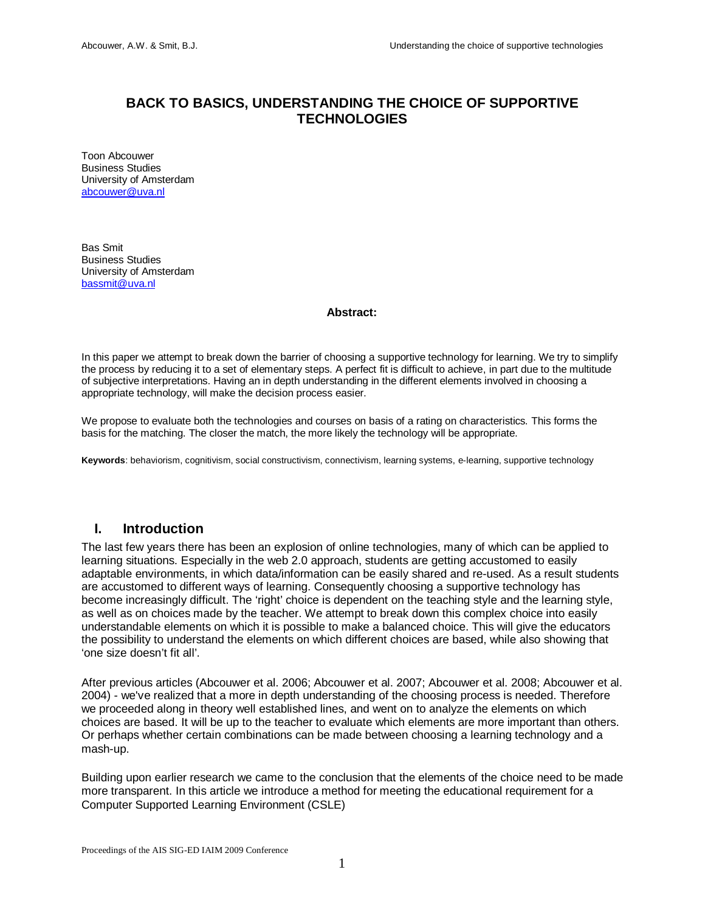### **BACK TO BASICS, UNDERSTANDING THE CHOICE OF SUPPORTIVE TECHNOLOGIES**

Toon Abcouwer Business Studies University of Amsterdam [abcouwer@uva.nl](mailto:abcouwer@uva.nl)

Bas Smit Business Studies University of Amsterdam [bassmit@uva.nl](mailto:bassmit@uva.nl)

#### **Abstract:**

In this paper we attempt to break down the barrier of choosing a supportive technology for learning. We try to simplify the process by reducing it to a set of elementary steps. A perfect fit is difficult to achieve, in part due to the multitude of subjective interpretations. Having an in depth understanding in the different elements involved in choosing a appropriate technology, will make the decision process easier.

We propose to evaluate both the technologies and courses on basis of a rating on characteristics. This forms the basis for the matching. The closer the match, the more likely the technology will be appropriate.

**Keywords**: behaviorism, cognitivism, social constructivism, connectivism, learning systems, e-learning, supportive technology

#### **I. Introduction**

The last few years there has been an explosion of online technologies, many of which can be applied to learning situations. Especially in the web 2.0 approach, students are getting accustomed to easily adaptable environments, in which data/information can be easily shared and re-used. As a result students are accustomed to different ways of learning. Consequently choosing a supportive technology has become increasingly difficult. The 'right' choice is dependent on the teaching style and the learning style, as well as on choices made by the teacher. We attempt to break down this complex choice into easily understandable elements on which it is possible to make a balanced choice. This will give the educators the possibility to understand the elements on which different choices are based, while also showing that 'one size doesn't fit all'.

After previous articles (Abcouwer et al. 2006; Abcouwer et al. 2007; Abcouwer et al. 2008; Abcouwer et al. 2004) - we've realized that a more in depth understanding of the choosing process is needed. Therefore we proceeded along in theory well established lines, and went on to analyze the elements on which choices are based. It will be up to the teacher to evaluate which elements are more important than others. Or perhaps whether certain combinations can be made between choosing a learning technology and a mash-up.

Building upon earlier research we came to the conclusion that the elements of the choice need to be made more transparent. In this article we introduce a method for meeting the educational requirement for a Computer Supported Learning Environment (CSLE)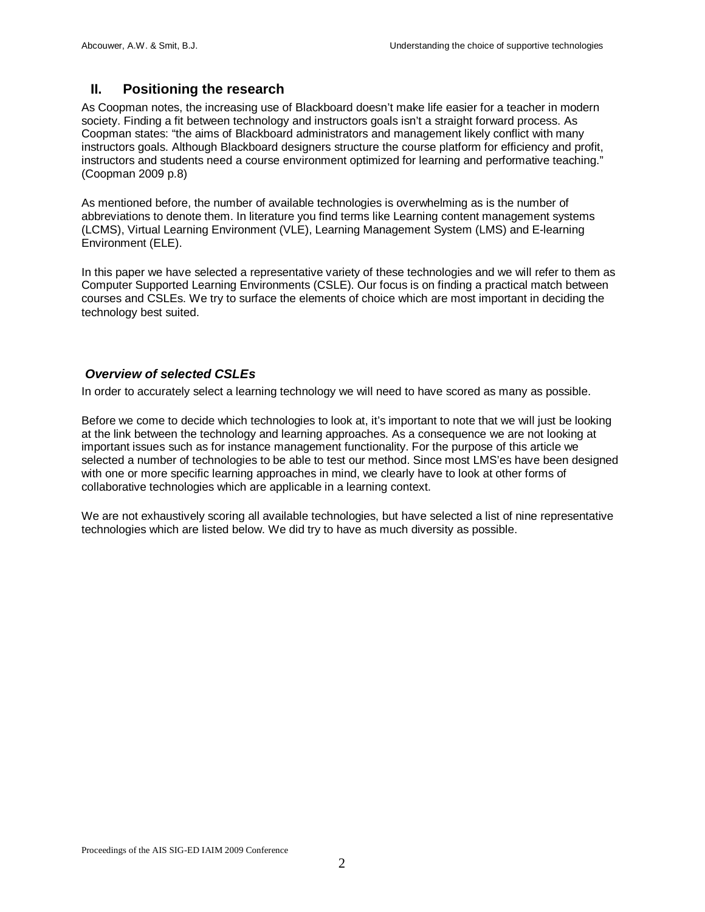### **II. Positioning the research**

As Coopman notes, the increasing use of Blackboard doesn't make life easier for a teacher in modern society. Finding a fit between technology and instructors goals isn't a straight forward process. As Coopman states: "the aims of Blackboard administrators and management likely conflict with many instructors goals. Although Blackboard designers structure the course platform for efficiency and profit, instructors and students need a course environment optimized for learning and performative teaching." (Coopman 2009 p.8)

As mentioned before, the number of available technologies is overwhelming as is the number of abbreviations to denote them. In literature you find terms like Learning content management systems (LCMS), Virtual Learning Environment (VLE), Learning Management System (LMS) and E-learning Environment (ELE).

In this paper we have selected a representative variety of these technologies and we will refer to them as Computer Supported Learning Environments (CSLE). Our focus is on finding a practical match between courses and CSLEs. We try to surface the elements of choice which are most important in deciding the technology best suited.

#### *Overview of selected CSLEs*

In order to accurately select a learning technology we will need to have scored as many as possible.

Before we come to decide which technologies to look at, it's important to note that we will just be looking at the link between the technology and learning approaches. As a consequence we are not looking at important issues such as for instance management functionality. For the purpose of this article we selected a number of technologies to be able to test our method. Since most LMS'es have been designed with one or more specific learning approaches in mind, we clearly have to look at other forms of collaborative technologies which are applicable in a learning context.

We are not exhaustively scoring all available technologies, but have selected a list of nine representative technologies which are listed below. We did try to have as much diversity as possible.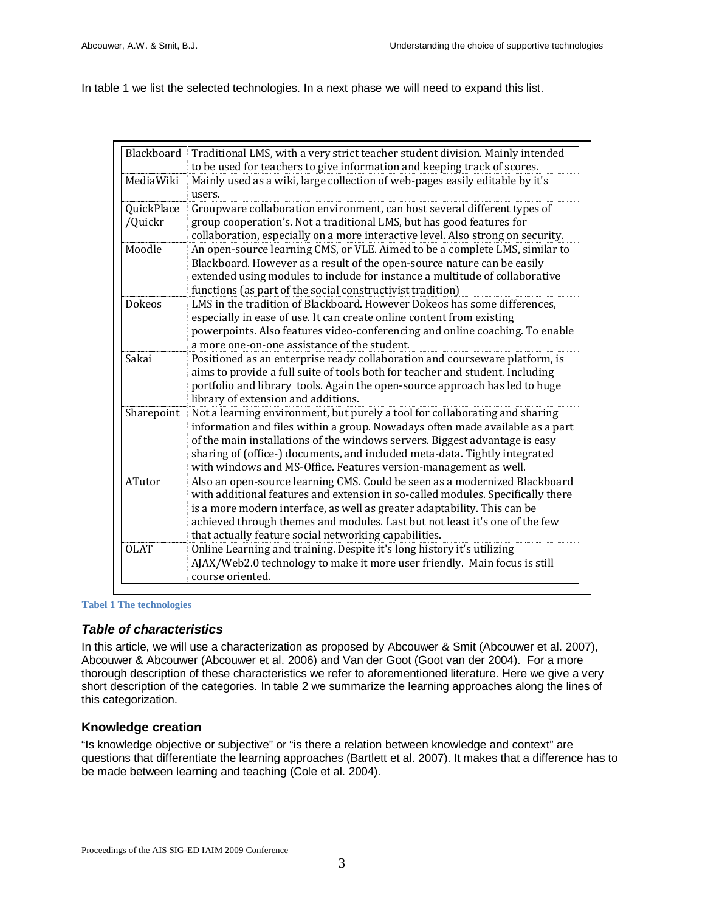In table 1 we list the selected technologies. In a next phase we will need to expand this list.

|                       | Blackboard   Traditional LMS, with a very strict teacher student division. Mainly intended<br>to be used for teachers to give information and keeping track of scores.                                                                                                                                                                                                                        |
|-----------------------|-----------------------------------------------------------------------------------------------------------------------------------------------------------------------------------------------------------------------------------------------------------------------------------------------------------------------------------------------------------------------------------------------|
| MediaWiki             | Mainly used as a wiki, large collection of web-pages easily editable by it's<br>users.                                                                                                                                                                                                                                                                                                        |
| QuickPlace<br>/Quickr | Groupware collaboration environment, can host several different types of<br>group cooperation's. Not a traditional LMS, but has good features for<br>collaboration, especially on a more interactive level. Also strong on security.                                                                                                                                                          |
| Moodle                | An open-source learning CMS, or VLE. Aimed to be a complete LMS, similar to<br>Blackboard. However as a result of the open-source nature can be easily<br>extended using modules to include for instance a multitude of collaborative<br>functions (as part of the social constructivist tradition)                                                                                           |
| <b>Dokeos</b>         | LMS in the tradition of Blackboard. However Dokeos has some differences,<br>especially in ease of use. It can create online content from existing<br>powerpoints. Also features video-conferencing and online coaching. To enable<br>a more one-on-one assistance of the student.                                                                                                             |
| Sakai                 | Positioned as an enterprise ready collaboration and courseware platform, is<br>aims to provide a full suite of tools both for teacher and student. Including<br>portfolio and library tools. Again the open-source approach has led to huge<br>library of extension and additions.                                                                                                            |
| Sharepoint            | Not a learning environment, but purely a tool for collaborating and sharing<br>information and files within a group. Nowadays often made available as a part<br>of the main installations of the windows servers. Biggest advantage is easy<br>sharing of (office-) documents, and included meta-data. Tightly integrated<br>with windows and MS-Office. Features version-management as well. |
| ATutor                | Also an open-source learning CMS. Could be seen as a modernized Blackboard<br>with additional features and extension in so-called modules. Specifically there<br>is a more modern interface, as well as greater adaptability. This can be<br>achieved through themes and modules. Last but not least it's one of the few<br>that actually feature social networking capabilities.             |
| <b>OLAT</b>           | Online Learning and training. Despite it's long history it's utilizing<br>AJAX/Web2.0 technology to make it more user friendly. Main focus is still<br>course oriented.                                                                                                                                                                                                                       |

#### **Tabel 1 The technologies**

#### *Table of characteristics*

In this article, we will use a characterization as proposed by Abcouwer & Smit (Abcouwer et al. 2007), Abcouwer & Abcouwer (Abcouwer et al. 2006) and Van der Goot (Goot van der 2004). For a more thorough description of these characteristics we refer to aforementioned literature. Here we give a very short description of the categories. In table 2 we summarize the learning approaches along the lines of this categorization.

#### **Knowledge creation**

"Is knowledge objective or subjective" or "is there a relation between knowledge and context" are questions that differentiate the learning approaches (Bartlett et al. 2007). It makes that a difference has to be made between learning and teaching (Cole et al. 2004).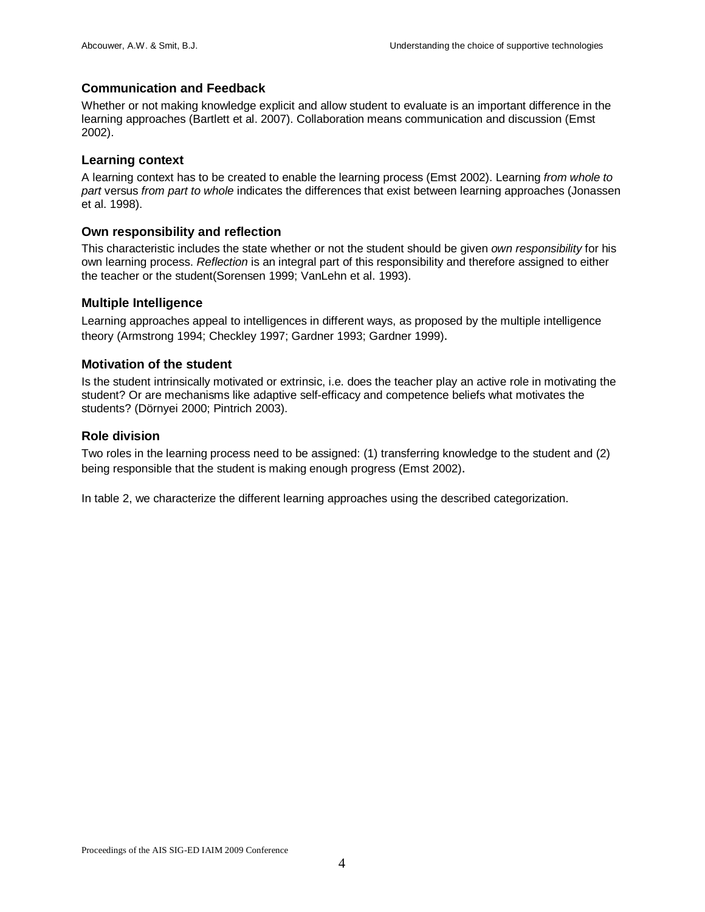#### **Communication and Feedback**

Whether or not making knowledge explicit and allow student to evaluate is an important difference in the learning approaches (Bartlett et al. 2007). Collaboration means communication and discussion (Emst 2002).

#### **Learning context**

A learning context has to be created to enable the learning process (Emst 2002). Learning *from whole to part* versus *from part to whole* indicates the differences that exist between learning approaches (Jonassen et al. 1998).

#### **Own responsibility and reflection**

This characteristic includes the state whether or not the student should be given *own responsibility* for his own learning process. *Reflection* is an integral part of this responsibility and therefore assigned to either the teacher or the student(Sorensen 1999; VanLehn et al. 1993).

#### **Multiple Intelligence**

Learning approaches appeal to intelligences in different ways, as proposed by the multiple intelligence theory (Armstrong 1994; Checkley 1997; Gardner 1993; Gardner 1999).

#### **Motivation of the student**

Is the student intrinsically motivated or extrinsic, i.e. does the teacher play an active role in motivating the student? Or are mechanisms like adaptive self-efficacy and competence beliefs what motivates the students? (Dörnyei 2000; Pintrich 2003).

#### **Role division**

Two roles in the learning process need to be assigned: (1) transferring knowledge to the student and (2) being responsible that the student is making enough progress (Emst 2002).

In table 2, we characterize the different learning approaches using the described categorization.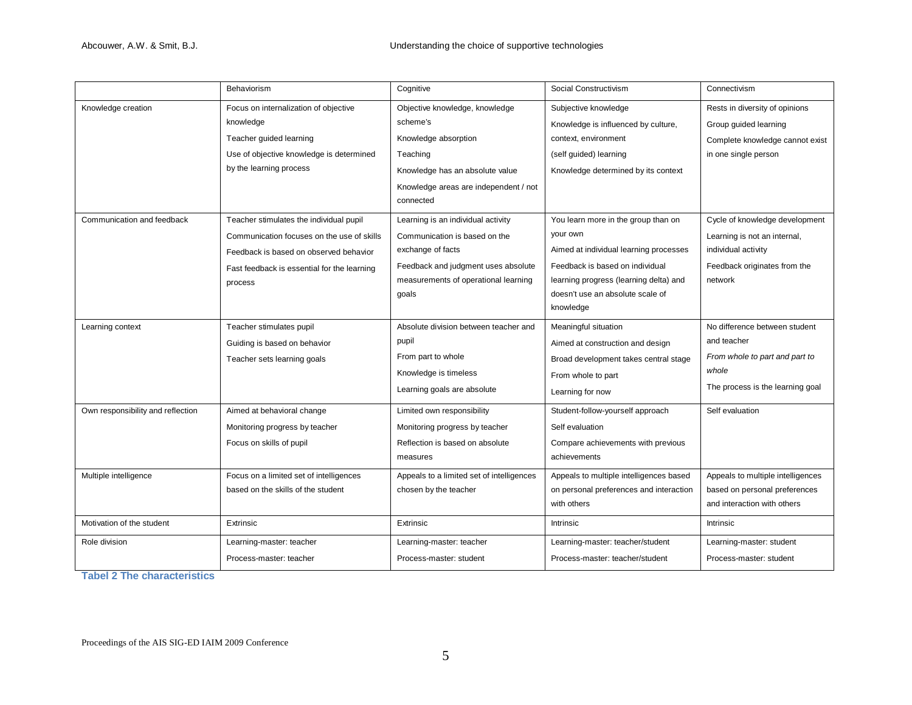|                                   | Behaviorism                                                                                                                                                                               | Cognitive                                                                                                                                                                        | Social Constructivism                                                                                                                                                                                                   | Connectivism                                                                                                                     |
|-----------------------------------|-------------------------------------------------------------------------------------------------------------------------------------------------------------------------------------------|----------------------------------------------------------------------------------------------------------------------------------------------------------------------------------|-------------------------------------------------------------------------------------------------------------------------------------------------------------------------------------------------------------------------|----------------------------------------------------------------------------------------------------------------------------------|
| Knowledge creation                | Focus on internalization of objective<br>knowledge<br>Teacher guided learning<br>Use of objective knowledge is determined<br>by the learning process                                      | Objective knowledge, knowledge<br>scheme's<br>Knowledge absorption<br>Teaching<br>Knowledge has an absolute value<br>Knowledge areas are independent / not<br>connected          | Subjective knowledge<br>Knowledge is influenced by culture,<br>context, environment<br>(self guided) learning<br>Knowledge determined by its context                                                                    | Rests in diversity of opinions<br>Group guided learning<br>Complete knowledge cannot exist<br>in one single person               |
| Communication and feedback        | Teacher stimulates the individual pupil<br>Communication focuses on the use of skills<br>Feedback is based on observed behavior<br>Fast feedback is essential for the learning<br>process | Learning is an individual activity<br>Communication is based on the<br>exchange of facts<br>Feedback and judgment uses absolute<br>measurements of operational learning<br>goals | You learn more in the group than on<br>your own<br>Aimed at individual learning processes<br>Feedback is based on individual<br>learning progress (learning delta) and<br>doesn't use an absolute scale of<br>knowledge | Cycle of knowledge development<br>Learning is not an internal,<br>individual activity<br>Feedback originates from the<br>network |
| Learning context                  | Teacher stimulates pupil<br>Guiding is based on behavior<br>Teacher sets learning goals                                                                                                   | Absolute division between teacher and<br>pupil<br>From part to whole<br>Knowledge is timeless<br>Learning goals are absolute                                                     | Meaningful situation<br>Aimed at construction and design<br>Broad development takes central stage<br>From whole to part<br>Learning for now                                                                             | No difference between student<br>and teacher<br>From whole to part and part to<br>whole<br>The process is the learning goal      |
| Own responsibility and reflection | Aimed at behavioral change<br>Monitoring progress by teacher<br>Focus on skills of pupil                                                                                                  | Limited own responsibility<br>Monitoring progress by teacher<br>Reflection is based on absolute<br>measures                                                                      | Student-follow-yourself approach<br>Self evaluation<br>Compare achievements with previous<br>achievements                                                                                                               | Self evaluation                                                                                                                  |
| Multiple intelligence             | Focus on a limited set of intelligences<br>based on the skills of the student                                                                                                             | Appeals to a limited set of intelligences<br>chosen by the teacher                                                                                                               | Appeals to multiple intelligences based<br>on personal preferences and interaction<br>with others                                                                                                                       | Appeals to multiple intelligences<br>based on personal preferences<br>and interaction with others                                |
| Motivation of the student         | Extrinsic                                                                                                                                                                                 | Extrinsic                                                                                                                                                                        | Intrinsic                                                                                                                                                                                                               | Intrinsic                                                                                                                        |
| Role division                     | Learning-master: teacher<br>Process-master: teacher                                                                                                                                       | Learning-master: teacher<br>Process-master: student                                                                                                                              | Learning-master: teacher/student<br>Process-master: teacher/student                                                                                                                                                     | Learning-master: student<br>Process-master: student                                                                              |

**Tabel 2 The characteristics**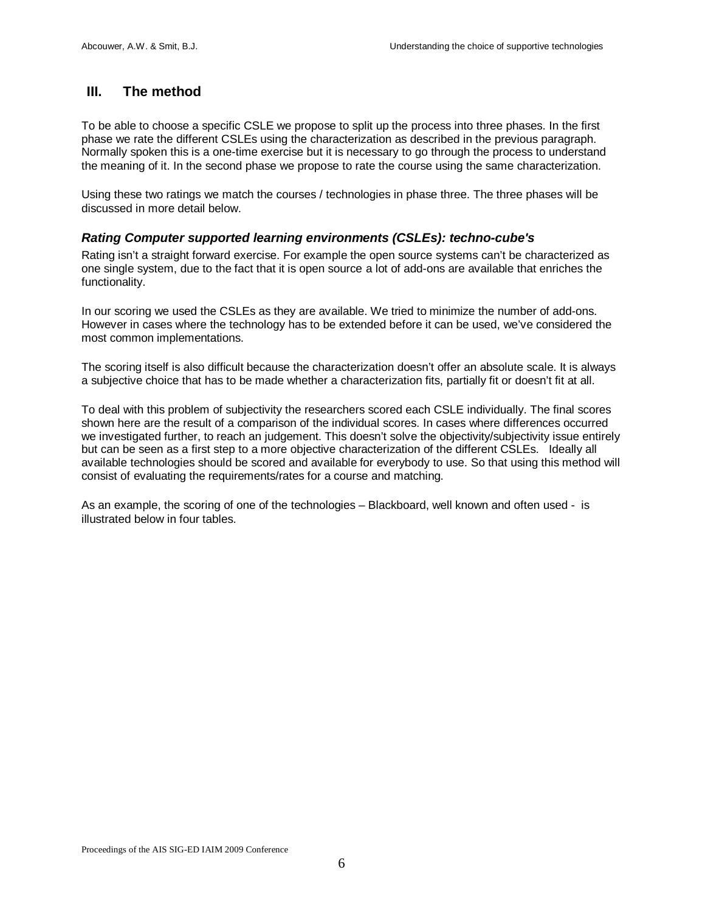#### **III. The method**

To be able to choose a specific CSLE we propose to split up the process into three phases. In the first phase we rate the different CSLEs using the characterization as described in the previous paragraph. Normally spoken this is a one-time exercise but it is necessary to go through the process to understand the meaning of it. In the second phase we propose to rate the course using the same characterization.

Using these two ratings we match the courses / technologies in phase three. The three phases will be discussed in more detail below.

#### *Rating Computer supported learning environments (CSLEs): techno-cube's*

Rating isn't a straight forward exercise. For example the open source systems can't be characterized as one single system, due to the fact that it is open source a lot of add-ons are available that enriches the functionality.

In our scoring we used the CSLEs as they are available. We tried to minimize the number of add-ons. However in cases where the technology has to be extended before it can be used, we've considered the most common implementations.

The scoring itself is also difficult because the characterization doesn't offer an absolute scale. It is always a subjective choice that has to be made whether a characterization fits, partially fit or doesn't fit at all.

To deal with this problem of subjectivity the researchers scored each CSLE individually. The final scores shown here are the result of a comparison of the individual scores. In cases where differences occurred we investigated further, to reach an judgement. This doesn't solve the objectivity/subjectivity issue entirely but can be seen as a first step to a more objective characterization of the different CSLEs. Ideally all available technologies should be scored and available for everybody to use. So that using this method will consist of evaluating the requirements/rates for a course and matching.

As an example, the scoring of one of the technologies – Blackboard, well known and often used - is illustrated below in four tables.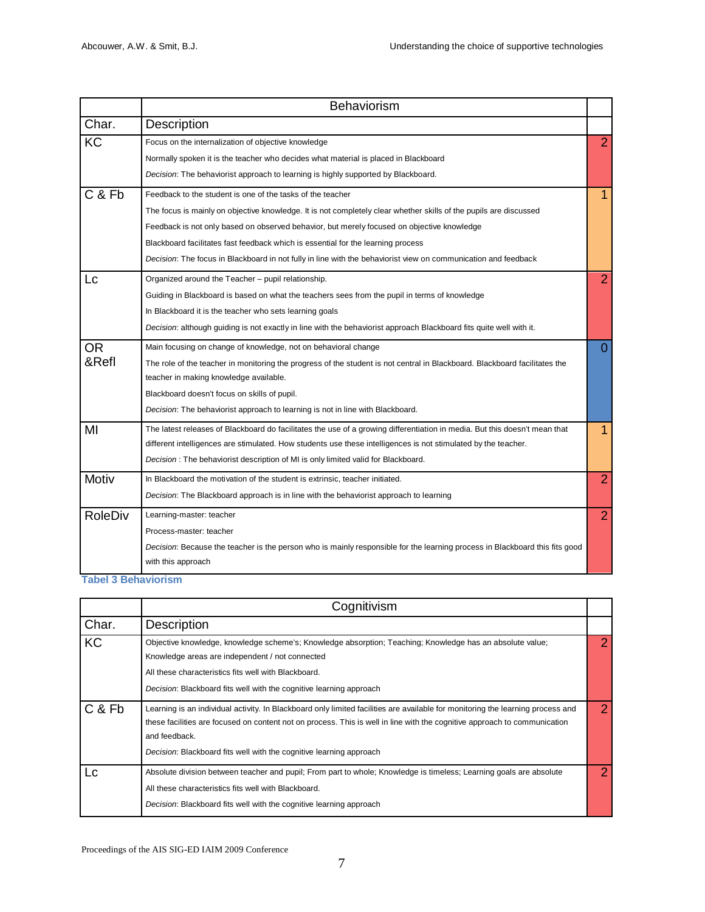|                | <b>Behaviorism</b>                                                                                                          |                |
|----------------|-----------------------------------------------------------------------------------------------------------------------------|----------------|
| Char.          | <b>Description</b>                                                                                                          |                |
| KC             | Focus on the internalization of objective knowledge                                                                         | $\overline{2}$ |
|                | Normally spoken it is the teacher who decides what material is placed in Blackboard                                         |                |
|                | Decision: The behaviorist approach to learning is highly supported by Blackboard.                                           |                |
| C & Fb         | Feedback to the student is one of the tasks of the teacher                                                                  | 1              |
|                | The focus is mainly on objective knowledge. It is not completely clear whether skills of the pupils are discussed           |                |
|                | Feedback is not only based on observed behavior, but merely focused on objective knowledge                                  |                |
|                | Blackboard facilitates fast feedback which is essential for the learning process                                            |                |
|                | Decision: The focus in Blackboard in not fully in line with the behaviorist view on communication and feedback              |                |
| Lc             | Organized around the Teacher - pupil relationship.                                                                          | $\overline{2}$ |
|                | Guiding in Blackboard is based on what the teachers sees from the pupil in terms of knowledge                               |                |
|                | In Blackboard it is the teacher who sets learning goals                                                                     |                |
|                | Decision: although guiding is not exactly in line with the behaviorist approach Blackboard fits quite well with it.         |                |
| <b>OR</b>      | Main focusing on change of knowledge, not on behavioral change                                                              | $\Omega$       |
| &Refl          | The role of the teacher in monitoring the progress of the student is not central in Blackboard. Blackboard facilitates the  |                |
|                | teacher in making knowledge available.                                                                                      |                |
|                | Blackboard doesn't focus on skills of pupil.                                                                                |                |
|                | Decision: The behaviorist approach to learning is not in line with Blackboard.                                              |                |
| MI             | The latest releases of Blackboard do facilitates the use of a growing differentiation in media. But this doesn't mean that  | 1              |
|                | different intelligences are stimulated. How students use these intelligences is not stimulated by the teacher.              |                |
|                | Decision: The behaviorist description of MI is only limited valid for Blackboard.                                           |                |
| Motiv          | In Blackboard the motivation of the student is extrinsic, teacher initiated.                                                | $\overline{2}$ |
|                | Decision: The Blackboard approach is in line with the behaviorist approach to learning                                      |                |
| <b>RoleDiv</b> | Learning-master: teacher                                                                                                    | $\overline{2}$ |
|                | Process-master: teacher                                                                                                     |                |
|                | Decision: Because the teacher is the person who is mainly responsible for the learning process in Blackboard this fits good |                |
|                | with this approach                                                                                                          |                |

**Tabel 3 Behaviorism**

|        | Cognitivism                                                                                                                                                                                                                                                                                                                                          |   |
|--------|------------------------------------------------------------------------------------------------------------------------------------------------------------------------------------------------------------------------------------------------------------------------------------------------------------------------------------------------------|---|
| Char.  | <b>Description</b>                                                                                                                                                                                                                                                                                                                                   |   |
| KC     | Objective knowledge, knowledge scheme's; Knowledge absorption; Teaching; Knowledge has an absolute value;<br>Knowledge areas are independent / not connected<br>All these characteristics fits well with Blackboard.<br>Decision: Blackboard fits well with the cognitive learning approach                                                          |   |
| C & Fb | Learning is an individual activity. In Blackboard only limited facilities are available for monitoring the learning process and<br>these facilities are focused on content not on process. This is well in line with the cognitive approach to communication<br>and feedback.<br>Decision: Blackboard fits well with the cognitive learning approach | 2 |
| Lc     | Absolute division between teacher and pupil; From part to whole; Knowledge is timeless; Learning goals are absolute<br>All these characteristics fits well with Blackboard.<br>Decision: Blackboard fits well with the cognitive learning approach                                                                                                   |   |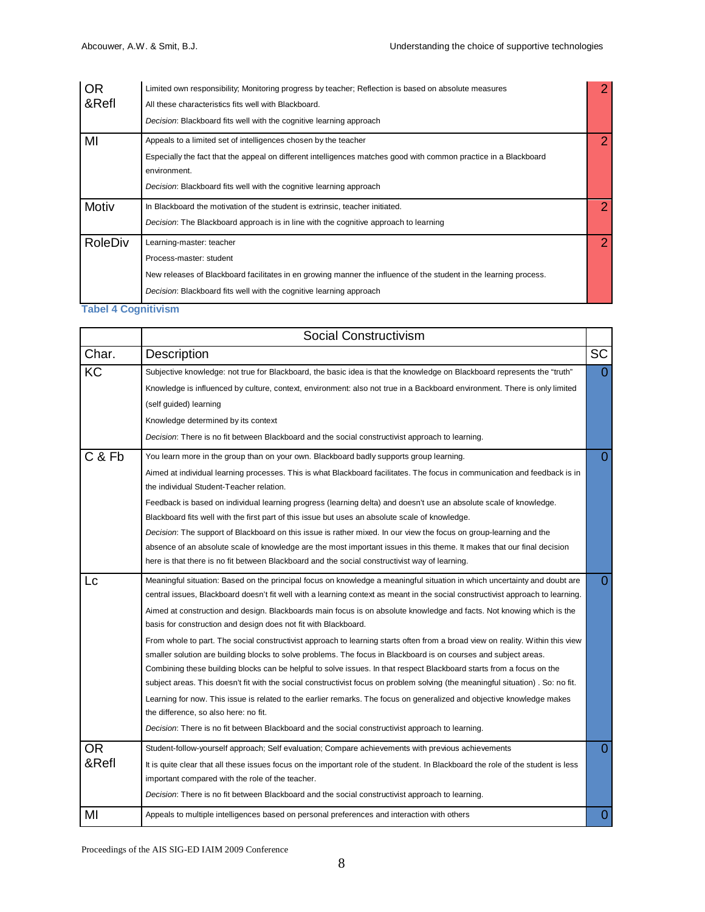| <b>OR</b>      | Limited own responsibility; Monitoring progress by teacher; Reflection is based on absolute measures              | 2              |
|----------------|-------------------------------------------------------------------------------------------------------------------|----------------|
| &Refl          | All these characteristics fits well with Blackboard.                                                              |                |
|                | Decision: Blackboard fits well with the cognitive learning approach                                               |                |
| MI             | Appeals to a limited set of intelligences chosen by the teacher                                                   | 2              |
|                | Especially the fact that the appeal on different intelligences matches good with common practice in a Blackboard  |                |
|                | environment.                                                                                                      |                |
|                | Decision: Blackboard fits well with the cognitive learning approach                                               |                |
| Motiv          | In Blackboard the motivation of the student is extrinsic, teacher initiated.                                      | 2              |
|                | Decision: The Blackboard approach is in line with the cognitive approach to learning                              |                |
| <b>RoleDiv</b> | Learning-master: teacher                                                                                          | $\overline{2}$ |
|                | Process-master: student                                                                                           |                |
|                | New releases of Blackboard facilitates in en growing manner the influence of the student in the learning process. |                |
|                | Decision: Blackboard fits well with the cognitive learning approach                                               |                |

#### **Tabel 4 Cognitivism**

|                    | <b>Social Constructivism</b>                                                                                                                                                                                                                                                                                                                                                                                                                                                                                                                                                                                                                                                                                                                                                                                                                                                                                                                                                                                                                                                                                                                                                                                                                      |                |  |  |  |  |  |
|--------------------|---------------------------------------------------------------------------------------------------------------------------------------------------------------------------------------------------------------------------------------------------------------------------------------------------------------------------------------------------------------------------------------------------------------------------------------------------------------------------------------------------------------------------------------------------------------------------------------------------------------------------------------------------------------------------------------------------------------------------------------------------------------------------------------------------------------------------------------------------------------------------------------------------------------------------------------------------------------------------------------------------------------------------------------------------------------------------------------------------------------------------------------------------------------------------------------------------------------------------------------------------|----------------|--|--|--|--|--|
| Char.              | Description                                                                                                                                                                                                                                                                                                                                                                                                                                                                                                                                                                                                                                                                                                                                                                                                                                                                                                                                                                                                                                                                                                                                                                                                                                       | <b>SC</b>      |  |  |  |  |  |
| KC                 | Subjective knowledge: not true for Blackboard, the basic idea is that the knowledge on Blackboard represents the "truth"<br>Knowledge is influenced by culture, context, environment: also not true in a Backboard environment. There is only limited<br>(self guided) learning<br>Knowledge determined by its context<br>Decision: There is no fit between Blackboard and the social constructivist approach to learning.                                                                                                                                                                                                                                                                                                                                                                                                                                                                                                                                                                                                                                                                                                                                                                                                                        | $\overline{0}$ |  |  |  |  |  |
| C & Fb             | You learn more in the group than on your own. Blackboard badly supports group learning.<br>Aimed at individual learning processes. This is what Blackboard facilitates. The focus in communication and feedback is in<br>the individual Student-Teacher relation.<br>Feedback is based on individual learning progress (learning delta) and doesn't use an absolute scale of knowledge.<br>Blackboard fits well with the first part of this issue but uses an absolute scale of knowledge.<br>Decision: The support of Blackboard on this issue is rather mixed. In our view the focus on group-learning and the<br>absence of an absolute scale of knowledge are the most important issues in this theme. It makes that our final decision<br>here is that there is no fit between Blackboard and the social constructivist way of learning.                                                                                                                                                                                                                                                                                                                                                                                                     | $\overline{0}$ |  |  |  |  |  |
| Lc                 | Meaningful situation: Based on the principal focus on knowledge a meaningful situation in which uncertainty and doubt are<br>central issues, Blackboard doesn't fit well with a learning context as meant in the social constructivist approach to learning.<br>Aimed at construction and design. Blackboards main focus is on absolute knowledge and facts. Not knowing which is the<br>basis for construction and design does not fit with Blackboard.<br>From whole to part. The social constructivist approach to learning starts often from a broad view on reality. Within this view<br>smaller solution are building blocks to solve problems. The focus in Blackboard is on courses and subject areas.<br>Combining these building blocks can be helpful to solve issues. In that respect Blackboard starts from a focus on the<br>subject areas. This doesn't fit with the social constructivist focus on problem solving (the meaningful situation). So: no fit.<br>Learning for now. This issue is related to the earlier remarks. The focus on generalized and objective knowledge makes<br>the difference, so also here: no fit.<br>Decision: There is no fit between Blackboard and the social constructivist approach to learning. | $\overline{0}$ |  |  |  |  |  |
| <b>OR</b><br>&Refl | Student-follow-yourself approach; Self evaluation; Compare achievements with previous achievements<br>It is quite clear that all these issues focus on the important role of the student. In Blackboard the role of the student is less<br>important compared with the role of the teacher.<br>Decision: There is no fit between Blackboard and the social constructivist approach to learning.                                                                                                                                                                                                                                                                                                                                                                                                                                                                                                                                                                                                                                                                                                                                                                                                                                                   | $\overline{0}$ |  |  |  |  |  |
| MI                 | Appeals to multiple intelligences based on personal preferences and interaction with others                                                                                                                                                                                                                                                                                                                                                                                                                                                                                                                                                                                                                                                                                                                                                                                                                                                                                                                                                                                                                                                                                                                                                       | $\overline{0}$ |  |  |  |  |  |

Proceedings of the AIS SIG-ED IAIM 2009 Conference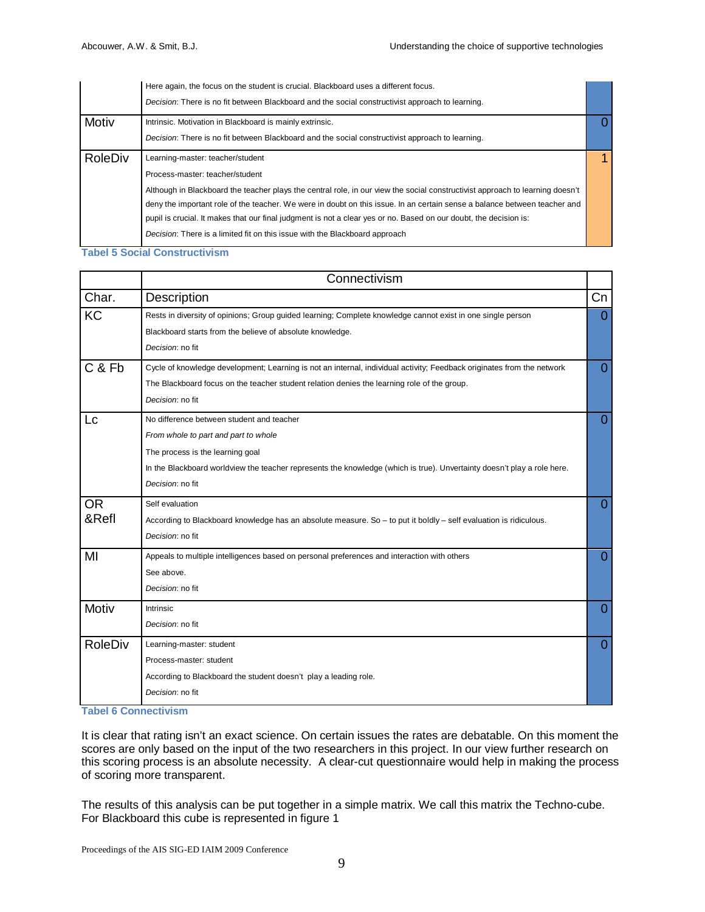|                | Here again, the focus on the student is crucial. Blackboard uses a different focus.                                           |  |
|----------------|-------------------------------------------------------------------------------------------------------------------------------|--|
|                | Decision: There is no fit between Blackboard and the social constructivist approach to learning.                              |  |
| Motiv          | Intrinsic. Motivation in Blackboard is mainly extrinsic.                                                                      |  |
|                | Decision: There is no fit between Blackboard and the social constructivist approach to learning.                              |  |
| <b>RoleDiv</b> | Learning-master: teacher/student                                                                                              |  |
|                | Process-master: teacher/student                                                                                               |  |
|                | Although in Blackboard the teacher plays the central role, in our view the social constructivist approach to learning doesn't |  |
|                | deny the important role of the teacher. We were in doubt on this issue. In an certain sense a balance between teacher and     |  |
|                | pupil is crucial. It makes that our final judgment is not a clear yes or no. Based on our doubt, the decision is:             |  |
|                | Decision: There is a limited fit on this issue with the Blackboard approach                                                   |  |

**Tabel 5 Social Constructivism**

|                | Connectivism                                                                                                            |          |
|----------------|-------------------------------------------------------------------------------------------------------------------------|----------|
| Char.          | Description                                                                                                             | Cn       |
| <b>KC</b>      | Rests in diversity of opinions; Group guided learning; Complete knowledge cannot exist in one single person             | 0        |
|                | Blackboard starts from the believe of absolute knowledge.                                                               |          |
|                | Decision: no fit                                                                                                        |          |
| C & Fb         | Cycle of knowledge development; Learning is not an internal, individual activity; Feedback originates from the network  | $\Omega$ |
|                | The Blackboard focus on the teacher student relation denies the learning role of the group.                             |          |
|                | Decision: no fit                                                                                                        |          |
| Lc             | No difference between student and teacher                                                                               | $\Omega$ |
|                | From whole to part and part to whole                                                                                    |          |
|                | The process is the learning goal                                                                                        |          |
|                | In the Blackboard worldview the teacher represents the knowledge (which is true). Unvertainty doesn't play a role here. |          |
|                | Decision: no fit                                                                                                        |          |
| <b>OR</b>      | Self evaluation                                                                                                         | $\Omega$ |
| &Refl          | According to Blackboard knowledge has an absolute measure. So - to put it boldly - self evaluation is ridiculous.       |          |
|                | Decision: no fit                                                                                                        |          |
| MI             | Appeals to multiple intelligences based on personal preferences and interaction with others                             | $\Omega$ |
|                | See above.                                                                                                              |          |
|                | Decision: no fit                                                                                                        |          |
| Motiv          | Intrinsic                                                                                                               | $\Omega$ |
|                | Decision: no fit                                                                                                        |          |
| <b>RoleDiv</b> | Learning-master: student                                                                                                | $\Omega$ |
|                | Process-master: student                                                                                                 |          |
|                | According to Blackboard the student doesn't play a leading role.                                                        |          |
|                | Decision: no fit                                                                                                        |          |
|                |                                                                                                                         |          |

**Tabel 6 Connectivism**

It is clear that rating isn't an exact science. On certain issues the rates are debatable. On this moment the scores are only based on the input of the two researchers in this project. In our view further research on this scoring process is an absolute necessity. A clear-cut questionnaire would help in making the process of scoring more transparent.

The results of this analysis can be put together in a simple matrix. We call this matrix the Techno-cube. For Blackboard this cube is represented in figure 1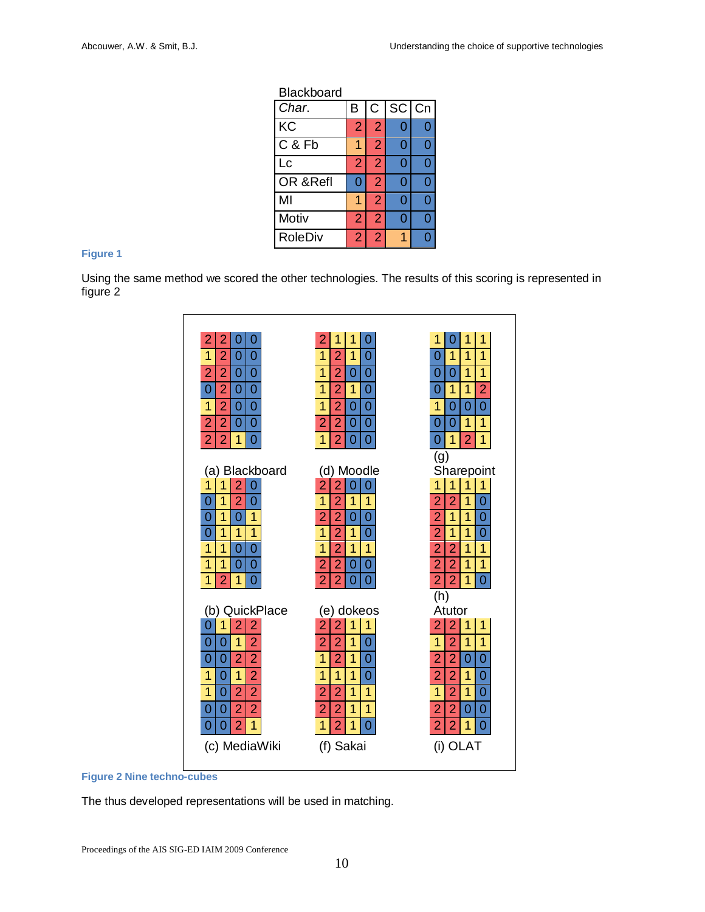| Blackboard     |                |                |       |   |
|----------------|----------------|----------------|-------|---|
| Char.          | B              | $\overline{C}$ | SC Cn |   |
| <b>KC</b>      | $\overline{2}$ | $\overline{2}$ | 0     | Ŋ |
| C & Fb         |                | $\overline{2}$ | Ω     | በ |
| Lc             | $\overline{2}$ | $\overline{2}$ | 0     | በ |
| OR & Refl      | ი              | $\overline{2}$ | 0     | በ |
| MI             |                | $\overline{2}$ | 0     | በ |
| Motiv          | $\overline{2}$ | $\overline{2}$ | 0     | በ |
| <b>RoleDiv</b> | 2              | ♦              | 1     | ٦ |

## **Figure 1**

Using the same method we scored the other technologies. The results of this scoring is represented in figure 2





The thus developed representations will be used in matching.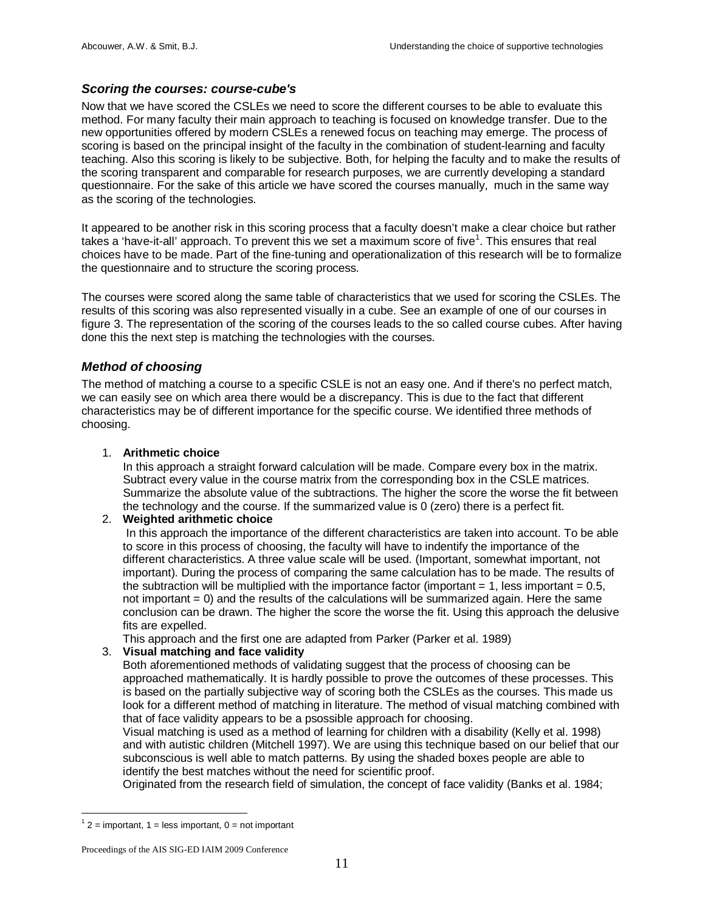#### *Scoring the courses: course-cube's*

Now that we have scored the CSLEs we need to score the different courses to be able to evaluate this method. For many faculty their main approach to teaching is focused on knowledge transfer. Due to the new opportunities offered by modern CSLEs a renewed focus on teaching may emerge. The process of scoring is based on the principal insight of the faculty in the combination of student-learning and faculty teaching. Also this scoring is likely to be subjective. Both, for helping the faculty and to make the results of the scoring transparent and comparable for research purposes, we are currently developing a standard questionnaire. For the sake of this article we have scored the courses manually, much in the same way as the scoring of the technologies.

It appeared to be another risk in this scoring process that a faculty doesn't make a clear choice but rather takes a 'have-it-all' approach. To prevent this we set a maximum score of five<sup>[1](#page-11-0)</sup>. This ensures that real choices have to be made. Part of the fine-tuning and operationalization of this research will be to formalize the questionnaire and to structure the scoring process.

The courses were scored along the same table of characteristics that we used for scoring the CSLEs. The results of this scoring was also represented visually in a cube. See an example of one of our courses in figure 3. The representation of the scoring of the courses leads to the so called course cubes. After having done this the next step is matching the technologies with the courses.

#### *Method of choosing*

The method of matching a course to a specific CSLE is not an easy one. And if there's no perfect match, we can easily see on which area there would be a discrepancy. This is due to the fact that different characteristics may be of different importance for the specific course. We identified three methods of choosing.

#### 1. **Arithmetic choice**

In this approach a straight forward calculation will be made. Compare every box in the matrix. Subtract every value in the course matrix from the corresponding box in the CSLE matrices. Summarize the absolute value of the subtractions. The higher the score the worse the fit between the technology and the course. If the summarized value is 0 (zero) there is a perfect fit.

#### 2. **Weighted arithmetic choice**

In this approach the importance of the different characteristics are taken into account. To be able to score in this process of choosing, the faculty will have to indentify the importance of the different characteristics. A three value scale will be used. (Important, somewhat important, not important). During the process of comparing the same calculation has to be made. The results of the subtraction will be multiplied with the importance factor (important  $= 1$ , less important  $= 0.5$ , not important = 0) and the results of the calculations will be summarized again. Here the same conclusion can be drawn. The higher the score the worse the fit. Using this approach the delusive fits are expelled.

This approach and the first one are adapted from Parker (Parker et al. 1989)

#### 3. **Visual matching and face validity**

Both aforementioned methods of validating suggest that the process of choosing can be approached mathematically. It is hardly possible to prove the outcomes of these processes. This is based on the partially subjective way of scoring both the CSLEs as the courses. This made us look for a different method of matching in literature. The method of visual matching combined with that of face validity appears to be a psossible approach for choosing.

Visual matching is used as a method of learning for children with a disability (Kelly et al. 1998) and with autistic children (Mitchell 1997). We are using this technique based on our belief that our subconscious is well able to match patterns. By using the shaded boxes people are able to identify the best matches without the need for scientific proof.

Originated from the research field of simulation, the concept of face validity (Banks et al. 1984;

<span id="page-11-0"></span> $1<sup>1</sup>$  2 = important, 1 = less important, 0 = not important

Proceedings of the AIS SIG-ED IAIM 2009 Conference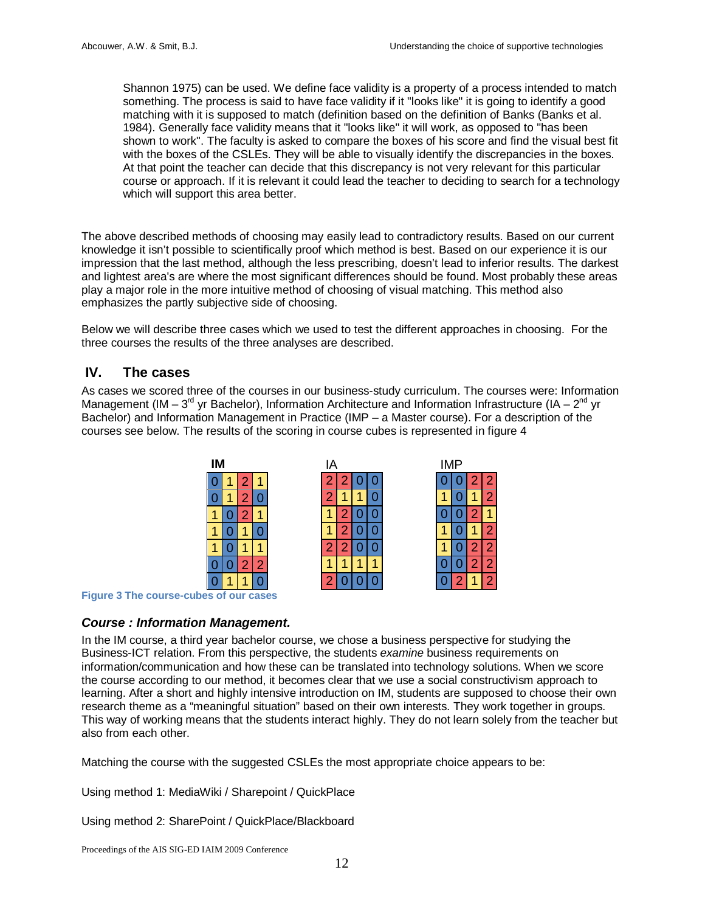Shannon 1975) can be used. We define face validity is a property of a process intended to match something. The process is said to have face validity if it "looks like" it is going to identify a good matching with it is supposed to match (definition based on the definition of Banks (Banks et al. 1984). Generally face validity means that it "looks like" it will work, as opposed to "has been shown to work". The faculty is asked to compare the boxes of his score and find the visual best fit with the boxes of the CSLEs. They will be able to visually identify the discrepancies in the boxes. At that point the teacher can decide that this discrepancy is not very relevant for this particular course or approach. If it is relevant it could lead the teacher to deciding to search for a technology which will support this area better.

The above described methods of choosing may easily lead to contradictory results. Based on our current knowledge it isn't possible to scientifically proof which method is best. Based on our experience it is our impression that the last method, although the less prescribing, doesn't lead to inferior results. The darkest and lightest area's are where the most significant differences should be found. Most probably these areas play a major role in the more intuitive method of choosing of visual matching. This method also emphasizes the partly subjective side of choosing.

Below we will describe three cases which we used to test the different approaches in choosing. For the three courses the results of the three analyses are described.

#### **IV. The cases**

As cases we scored three of the courses in our business-study curriculum. The courses were: Information Management (IM – 3<sup>rd</sup> yr Bachelor), Information Architecture and Information Infrastructure (IA – 2<sup>nd</sup> yr Bachelor) and Information Management in Practice (IMP – a Master course). For a description of the courses see below. The results of the scoring in course cubes is represented in figure 4



**Figure 3 The course-cubes of our cases**

#### *Course : Information Management.*

In the IM course, a third year bachelor course, we chose a business perspective for studying the Business-ICT relation. From this perspective, the students *examine* business requirements on information/communication and how these can be translated into technology solutions. When we score the course according to our method, it becomes clear that we use a social constructivism approach to learning. After a short and highly intensive introduction on IM, students are supposed to choose their own research theme as a "meaningful situation" based on their own interests. They work together in groups. This way of working means that the students interact highly. They do not learn solely from the teacher but also from each other.

Matching the course with the suggested CSLEs the most appropriate choice appears to be:

Using method 1: MediaWiki / Sharepoint / QuickPlace

Using method 2: SharePoint / QuickPlace/Blackboard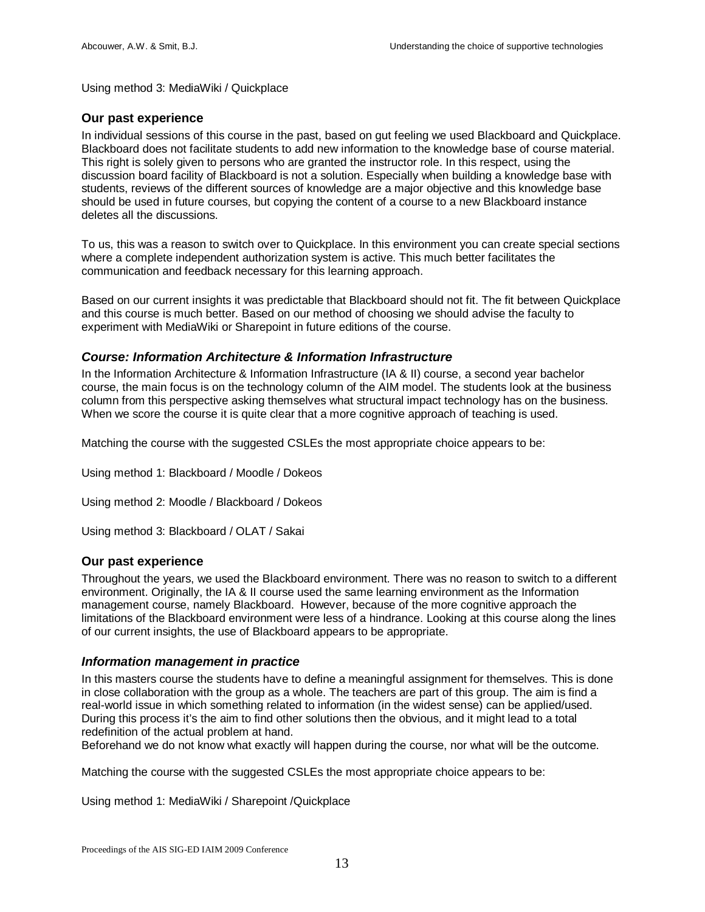Using method 3: MediaWiki / Quickplace

#### **Our past experience**

In individual sessions of this course in the past, based on gut feeling we used Blackboard and Quickplace. Blackboard does not facilitate students to add new information to the knowledge base of course material. This right is solely given to persons who are granted the instructor role. In this respect, using the discussion board facility of Blackboard is not a solution. Especially when building a knowledge base with students, reviews of the different sources of knowledge are a major objective and this knowledge base should be used in future courses, but copying the content of a course to a new Blackboard instance deletes all the discussions.

To us, this was a reason to switch over to Quickplace. In this environment you can create special sections where a complete independent authorization system is active. This much better facilitates the communication and feedback necessary for this learning approach.

Based on our current insights it was predictable that Blackboard should not fit. The fit between Quickplace and this course is much better. Based on our method of choosing we should advise the faculty to experiment with MediaWiki or Sharepoint in future editions of the course.

#### *Course: Information Architecture & Information Infrastructure*

In the Information Architecture & Information Infrastructure (IA & II) course, a second year bachelor course, the main focus is on the technology column of the AIM model. The students look at the business column from this perspective asking themselves what structural impact technology has on the business. When we score the course it is quite clear that a more cognitive approach of teaching is used.

Matching the course with the suggested CSLEs the most appropriate choice appears to be:

Using method 1: Blackboard / Moodle / Dokeos

Using method 2: Moodle / Blackboard / Dokeos

Using method 3: Blackboard / OLAT / Sakai

#### **Our past experience**

Throughout the years, we used the Blackboard environment. There was no reason to switch to a different environment. Originally, the IA & II course used the same learning environment as the Information management course, namely Blackboard. However, because of the more cognitive approach the limitations of the Blackboard environment were less of a hindrance. Looking at this course along the lines of our current insights, the use of Blackboard appears to be appropriate.

#### *Information management in practice*

In this masters course the students have to define a meaningful assignment for themselves. This is done in close collaboration with the group as a whole. The teachers are part of this group. The aim is find a real-world issue in which something related to information (in the widest sense) can be applied/used. During this process it's the aim to find other solutions then the obvious, and it might lead to a total redefinition of the actual problem at hand.

Beforehand we do not know what exactly will happen during the course, nor what will be the outcome.

Matching the course with the suggested CSLEs the most appropriate choice appears to be:

Using method 1: MediaWiki / Sharepoint /Quickplace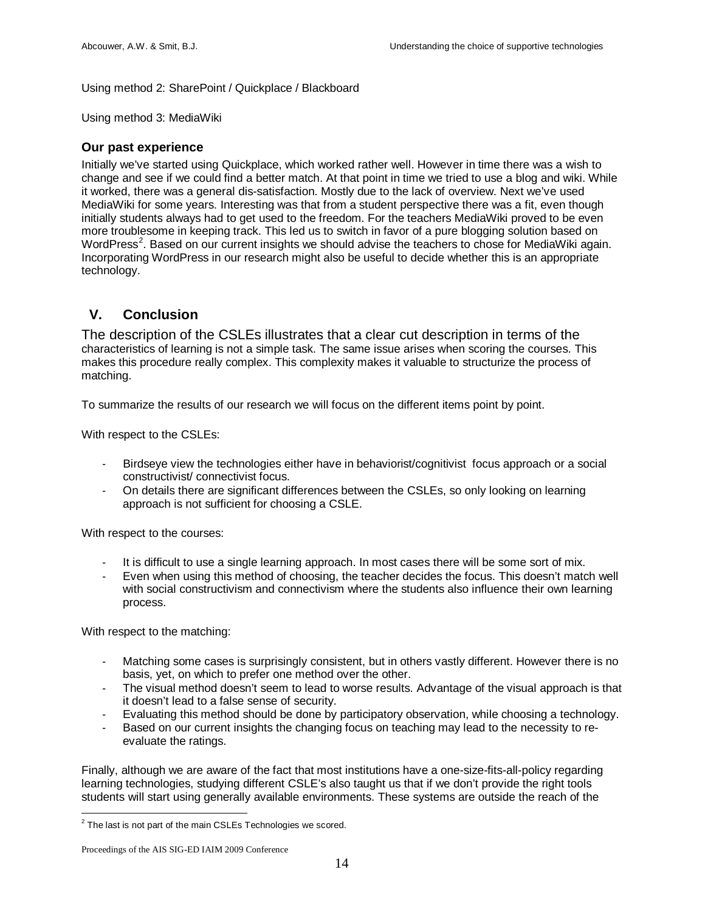#### Using method 2: SharePoint / Quickplace / Blackboard

Using method 3: MediaWiki

#### **Our past experience**

Initially we've started using Quickplace, which worked rather well. However in time there was a wish to change and see if we could find a better match. At that point in time we tried to use a blog and wiki. While it worked, there was a general dis-satisfaction. Mostly due to the lack of overview. Next we've used MediaWiki for some years. Interesting was that from a student perspective there was a fit, even though initially students always had to get used to the freedom. For the teachers MediaWiki proved to be even more troublesome in keeping track. This led us to switch in favor of a pure blogging solution based on WordPress<sup>[2](#page-14-0)</sup>. Based on our current insights we should advise the teachers to chose for MediaWiki again. Incorporating WordPress in our research might also be useful to decide whether this is an appropriate technology.

#### **V. Conclusion**

The description of the CSLEs illustrates that a clear cut description in terms of the characteristics of learning is not a simple task. The same issue arises when scoring the courses. This makes this procedure really complex. This complexity makes it valuable to structurize the process of matching.

To summarize the results of our research we will focus on the different items point by point.

With respect to the CSLEs:

- Birdseye view the technologies either have in behaviorist/cognitivist focus approach or a social constructivist/ connectivist focus.
- On details there are significant differences between the CSLEs, so only looking on learning approach is not sufficient for choosing a CSLE.

With respect to the courses:

- It is difficult to use a single learning approach. In most cases there will be some sort of mix.
- Even when using this method of choosing, the teacher decides the focus. This doesn't match well with social constructivism and connectivism where the students also influence their own learning process.

With respect to the matching:

- Matching some cases is surprisingly consistent, but in others vastly different. However there is no basis, yet, on which to prefer one method over the other.
- The visual method doesn't seem to lead to worse results. Advantage of the visual approach is that it doesn't lead to a false sense of security.
- Evaluating this method should be done by participatory observation, while choosing a technology.
- Based on our current insights the changing focus on teaching may lead to the necessity to reevaluate the ratings.

Finally, although we are aware of the fact that most institutions have a one-size-fits-all-policy regarding learning technologies, studying different CSLE's also taught us that if we don't provide the right tools students will start using generally available environments. These systems are outside the reach of the

<span id="page-14-0"></span> $2$  The last is not part of the main CSLEs Technologies we scored.

Proceedings of the AIS SIG-ED IAIM 2009 Conference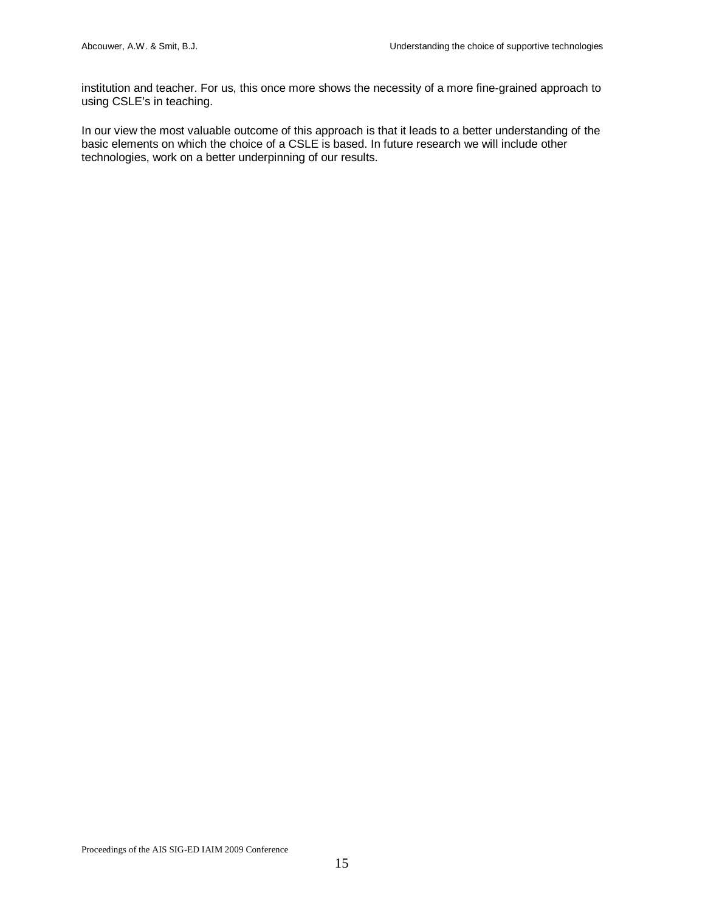institution and teacher. For us, this once more shows the necessity of a more fine-grained approach to using CSLE's in teaching.

In our view the most valuable outcome of this approach is that it leads to a better understanding of the basic elements on which the choice of a CSLE is based. In future research we will include other technologies, work on a better underpinning of our results.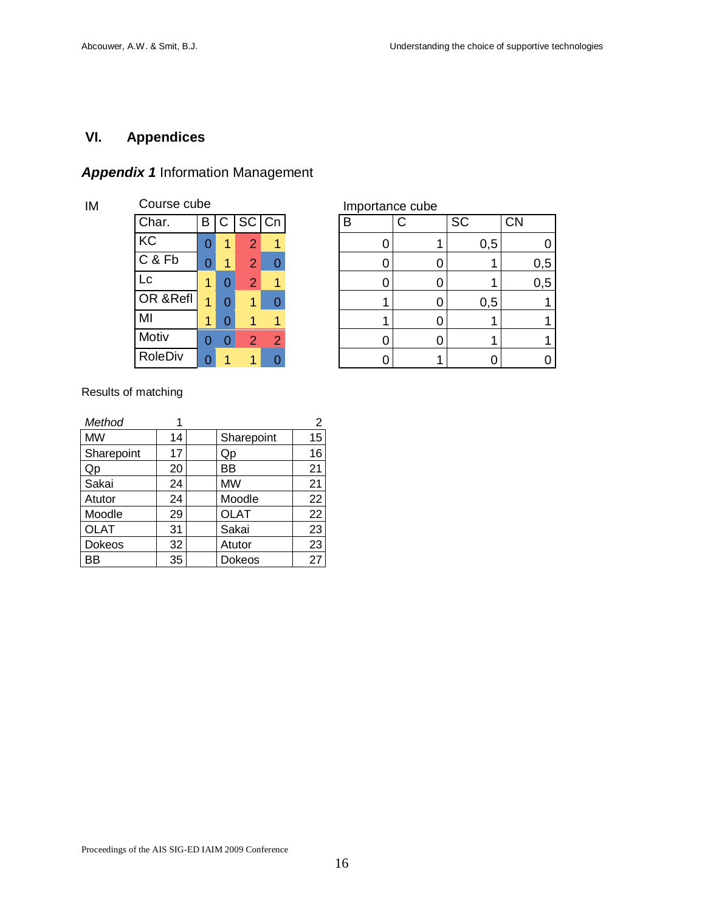## **VI. Appendices**

### *Appendix 1* Information Management

| IM | Course cube | Importance cube |   |                |   |  |   |  |
|----|-------------|-----------------|---|----------------|---|--|---|--|
|    | Char.       | В               |   | $C$ SC $Cn$    |   |  | B |  |
|    | KC          | 0               | 1 | $\overline{2}$ | 1 |  |   |  |
|    | C & Fb      | 0               | 1 | $\overline{2}$ |   |  | O |  |
|    | Lc          | 1               | 0 | $\overline{2}$ |   |  | 0 |  |
|    | OR & Refl   | 1               | 0 | 1              |   |  |   |  |
|    | MI          | 1               | 0 |                |   |  |   |  |
|    | Motiv       | 0               | 0 | 2              | 2 |  |   |  |
|    | RoleDiv     | 0               |   |                |   |  |   |  |

|                |   |   |                |                | IIIpulative cupe |           |           |
|----------------|---|---|----------------|----------------|------------------|-----------|-----------|
| Char.          | В | C | SC Cn          |                | B                | <b>SC</b> | <b>CN</b> |
| KC             |   | 1 | 2              | 1              |                  | 0,5       |           |
| C & Fb         | 0 | 4 | $\overline{2}$ | 0              |                  |           | 0,5       |
| Lc             | 1 |   | $\overline{2}$ | 4              |                  |           | 0,5       |
| OR & Refl      | 1 |   | 1              | ი              |                  | 0,5       |           |
| MI             |   |   |                |                |                  |           |           |
| Motiv          | 0 |   | 2              | $\overline{2}$ |                  |           |           |
| <b>RoleDiv</b> | 0 |   |                |                |                  |           |           |

Results of matching

| Method        |    |             | $\overline{2}$ |
|---------------|----|-------------|----------------|
| <b>MW</b>     | 14 | Sharepoint  | 15             |
| Sharepoint    | 17 | Qp          | 16             |
| Qp            | 20 | ВB          | 21             |
| Sakai         | 24 | <b>MW</b>   | 21             |
| Atutor        | 24 | Moodle      | 22             |
| Moodle        | 29 | <b>OLAT</b> | 22             |
| <b>OLAT</b>   | 31 | Sakai       | 23             |
| <b>Dokeos</b> | 32 | Atutor      | 23             |
| ΒB            | 35 | Dokeos      | 27             |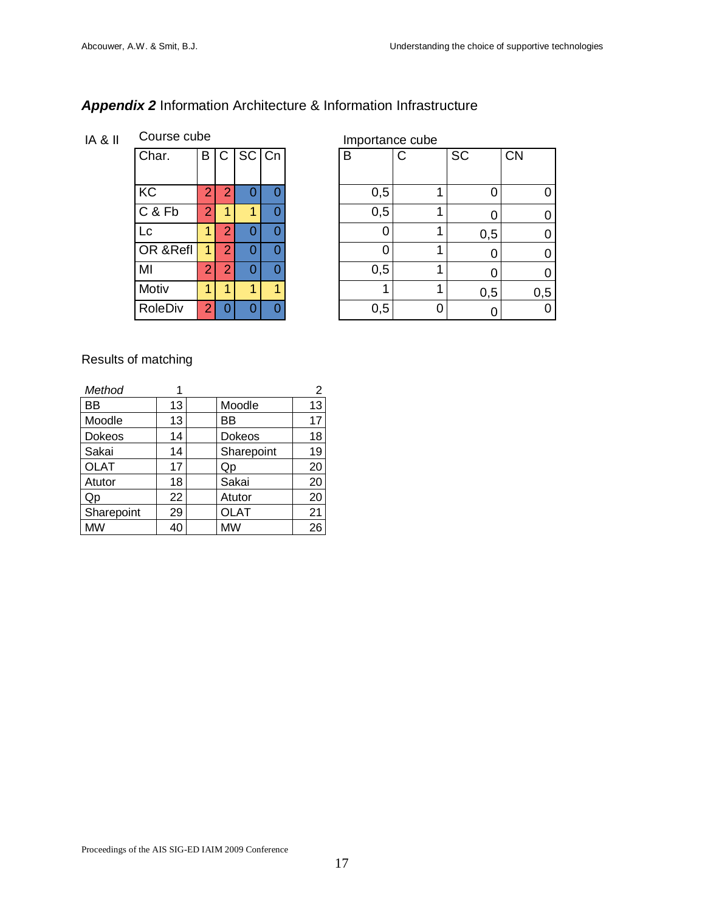## *Appendix 2* Information Architecture & Information Infrastructure

IA & II Course cube Importance cube

| Char.          | B              |                | $C$ SC $Cn$ |   |
|----------------|----------------|----------------|-------------|---|
| KC             | $\overline{2}$ | 2              | 0           | 0 |
| C & Fb         | $\overline{2}$ |                | 1           | 0 |
| Lc             |                | $\overline{2}$ | Ω           | 0 |
| OR &Refl       |                | $\overline{2}$ | 0           | 0 |
| MI             | $\overline{2}$ | $\overline{2}$ | 0           | 0 |
| Motiv          | 1              | 1              | 1           | 1 |
| <b>RoleDiv</b> | $\overline{2}$ | 0              | ი           | N |

| Char.    | B              | $\mathsf{C}$   | SC Cn |   | B   | $\mathsf{C}$ | SC  | <b>CN</b> |
|----------|----------------|----------------|-------|---|-----|--------------|-----|-----------|
|          |                |                |       |   |     |              |     |           |
| KC       | $\overline{2}$ | $\overline{2}$ | O     |   | 0,5 |              |     |           |
| C & Fb   | $\overline{2}$ |                | 1     |   | 0,5 |              |     |           |
| Lc       | 1              | 2              | ი     |   |     |              | 0,5 |           |
| OR &Refl | 1              | $\overline{2}$ | 0     | Λ | Ⴖ   |              |     |           |
| MI       | $\overline{2}$ | 2              | 0     |   | 0,5 |              |     |           |
| Motiv    |                |                | 1     |   |     |              | 0,5 | 0,5       |
| RoleDiv  | $\overline{2}$ |                | O     |   | 0,5 | 0            |     |           |

### Results of matching

| Method      |    |             | $\overline{2}$ |
|-------------|----|-------------|----------------|
| ВB          | 13 | Moodle      | 13             |
| Moodle      | 13 | ВB          | 17             |
| Dokeos      | 14 | Dokeos      | 18             |
| Sakai       | 14 | Sharepoint  | 19             |
| <b>OLAT</b> | 17 | Qp          | 20             |
| Atutor      | 18 | Sakai       | 20             |
| Qp          | 22 | Atutor      | 20             |
| Sharepoint  | 29 | <b>OLAT</b> | 21             |
| <b>MW</b>   | 40 | <b>MW</b>   | 26             |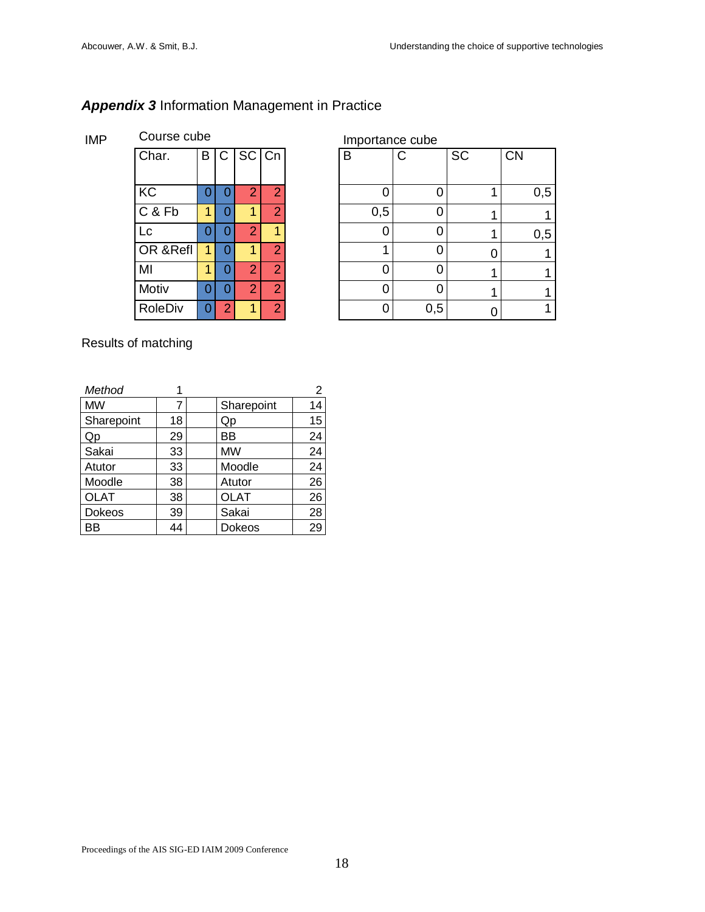### *Appendix 3* Information Management in Practice

### IMP Course cube Course cube Importance cube

| Char.          | B | C              | SC Cn          |                | B   | C   | $\overline{SC}$ | <b>CN</b> |
|----------------|---|----------------|----------------|----------------|-----|-----|-----------------|-----------|
|                |   |                |                |                |     |     |                 |           |
| KC             | 0 | Ω              | 2              | 2              |     | C   |                 | 0,5       |
| C & Fb         | 1 |                |                | ≘              | 0,5 | C   |                 |           |
| Lc             | 0 | 0              | $\overline{2}$ |                |     | 0   |                 | 0,5       |
| OR &Refl       | 1 | 0              | 1              | 2              |     | C   |                 | 1         |
| MI             |   | Ω              | 2              | ာ              | 0   | 0   |                 | 1         |
| Motiv          | 0 | 0              | 2              | 2              | C   | 0   |                 | 1         |
| <b>RoleDiv</b> | 0 | $\overline{2}$ |                | $\overline{2}$ | 0   | 0,5 |                 | 1         |
|                |   |                |                |                |     |     |                 |           |

Results of matching

| Method        |    |             | 2  |
|---------------|----|-------------|----|
| <b>MW</b>     | 7  | Sharepoint  | 14 |
| Sharepoint    | 18 | Qp          | 15 |
| Qp            | 29 | ВB          | 24 |
| Sakai         | 33 | <b>MW</b>   | 24 |
| Atutor        | 33 | Moodle      | 24 |
| Moodle        | 38 | Atutor      | 26 |
| <b>OLAT</b>   | 38 | <b>OLAT</b> | 26 |
| <b>Dokeos</b> | 39 | Sakai       | 28 |
| ΒB            | 44 | Dokeos      | 29 |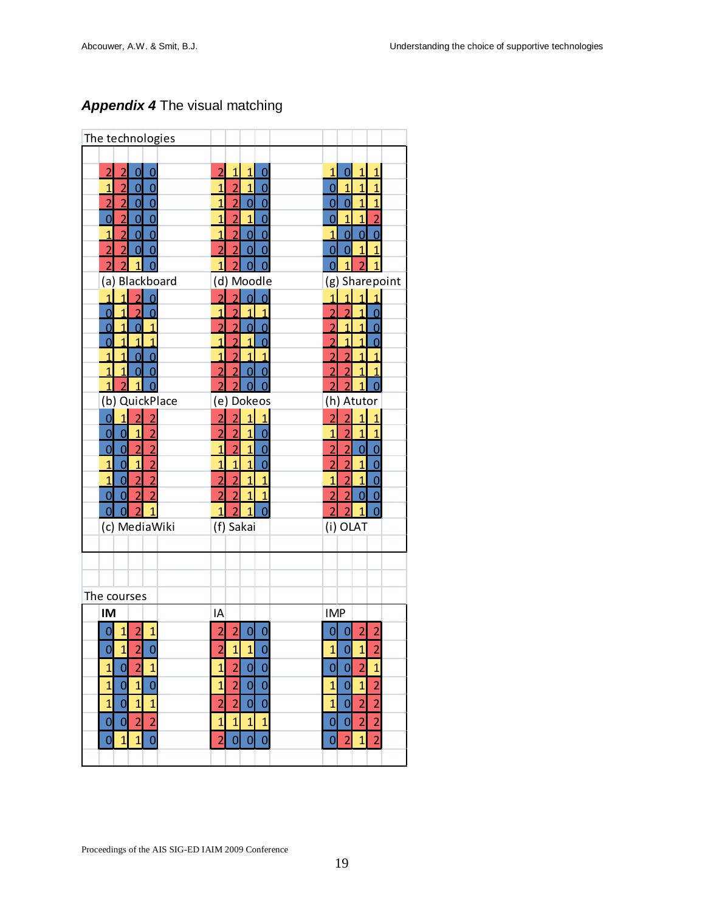## *Appendix 4* The visual matching

| The technologies                                                     |                                                         |                                                    |
|----------------------------------------------------------------------|---------------------------------------------------------|----------------------------------------------------|
|                                                                      |                                                         |                                                    |
| $\overline{2}$                                                       | $\overline{1}$                                          | $\overline{1}$                                     |
| $\overline{2}$                                                       | $\overline{2}$                                          | $\overline{1}$                                     |
| $\overline{0}$                                                       | $\overline{1}$                                          | $\overline{0}$                                     |
| 0                                                                    | 0                                                       | $\overline{1}$                                     |
| $\overline{1}$                                                       | $\overline{2}$                                          | $\overline{1}$                                     |
| $\overline{2}$                                                       | $\overline{1}$                                          | $\overline{1}$                                     |
| $\overline{0}$                                                       | $\overline{1}$                                          | $\overline{1}$                                     |
| $\overline{0}$                                                       | $\Omega$                                                | 0                                                  |
| $\overline{0}$                                                       | $\overline{2}$                                          | $\overline{1}$                                     |
| $\overline{2}$                                                       | $\overline{0}$                                          | $\overline{0}$                                     |
| $\overline{2}$                                                       | $\overline{1}$                                          | $\overline{1}$                                     |
| $\overline{0}$                                                       | 0                                                       | 0                                                  |
| $\overline{0}$                                                       | $\overline{1}$                                          | $\overline{1}$                                     |
| $\overline{0}$                                                       | $\overline{2}$                                          | $\overline{1}$                                     |
| $\overline{2}$                                                       | $\overline{1}$                                          | $\overline{2}$                                     |
| $\overline{0}$                                                       | 0                                                       | 0                                                  |
| $\overline{0}$                                                       | $\overline{2}$                                          | $\overline{0}$                                     |
| $\overline{1}$                                                       | $\overline{0}$                                          | $\overline{0}$                                     |
| $\overline{2}$                                                       | $\overline{0}$                                          | $\overline{1}$                                     |
| $\overline{0}$                                                       | $\overline{1}$                                          | $\overline{0}$                                     |
| $\overline{2}$                                                       | $\overline{2}$                                          | $\overline{1}$                                     |
| $\overline{2}$                                                       | $\overline{0}$                                          | $\overline{0}$                                     |
| $\overline{O}$                                                       | $\overline{2}$                                          | $\overline{0}$                                     |
| $\overline{0}$                                                       | 0                                                       | $\overline{1}$                                     |
| $\overline{2}$                                                       | $\overline{2}$                                          | $\overline{2}$                                     |
| $\overline{2}$                                                       | 1                                                       | 1                                                  |
| $\overline{1}$                                                       | 0                                                       | $\mathbf{1}$                                       |
| (a) Blackboard                                                       | (d) Moodle                                              | (g) Sharepoint                                     |
| $\overline{1}$<br>$\overline{2}$<br>$\overline{O}$                   | $\overline{2}$<br>$\Omega$<br>Ω                         | $\mathbf{1}$<br>$\overline{1}$                     |
| $\overline{2}$<br>$\overline{0}$<br>O                                | $\overline{2}$                                          | 1<br>2                                             |
| Ó                                                                    | $\overline{2}$                                          | $\overline{2}$                                     |
| $\overline{0}$                                                       | $\overline{2}$                                          | $\overline{1}$                                     |
| $\overline{1}$                                                       | $\overline{0}$                                          | 1                                                  |
| $\hat{\mathbf{0}}$                                                   | $\overline{1}$                                          | $\overline{a}$                                     |
| $\overline{1}$                                                       | $\overline{2}$                                          | $\overline{1}$                                     |
| $\overline{1}$                                                       | 1                                                       | $\overline{1}$                                     |
| $\overline{1}$                                                       | 0                                                       | 0                                                  |
| $\overline{0}$                                                       | $\overline{2}$                                          | $\overline{a}$                                     |
| $\overline{1}$                                                       | $\overline{1}$                                          | $\overline{1}$                                     |
| $\overline{1}$                                                       | 1                                                       | $\overline{2}$                                     |
| $\overline{0}$                                                       | 1                                                       | 1                                                  |
| $\overline{1}$<br>$\overline{1}$<br>$\overline{0}$<br>$\overline{0}$ | $\overline{2}$<br>$\overline{2}$<br>$\overline{0}$<br>0 | $\overline{1}$<br>$\overline{c}$<br>$\overline{2}$ |
| $\overline{1}$<br>$\overline{2}$<br>$\overline{1}$                   | $\overline{2}$                                          | $\overline{2}$<br>$\overline{2}$<br>$\overline{1}$ |
| QuickPlace<br>(b)                                                    | (e) Dokeos                                              | (h) Atutor                                         |
| $\overline{1}$                                                       | $\mathbf{1}$                                            | $\mathbf{1}$                                       |
| $\overline{2}$                                                       | $\overline{2}$                                          | $\overline{a}$                                     |
| $\overline{2}$                                                       | $\overline{2}$                                          | $\overline{2}$                                     |
| Ō                                                                    | $\overline{1}$                                          | $\overline{1}$                                     |
| $\overline{0}$                                                       | $\overline{2}$                                          | $\overline{1}$                                     |
| $\overline{1}$                                                       | $\overline{1}$                                          | $\overline{1}$                                     |
| $\overline{2}$                                                       | $\overline{2}$                                          | $\overline{2}$                                     |
| $\overline{0}$                                                       | 0                                                       | $\overline{1}$                                     |
| $\overline{0}$                                                       | $\overline{2}$                                          | $\overline{0}$                                     |
| $\overline{2}$                                                       | $\overline{1}$                                          | $\overline{2}$                                     |
| $\overline{2}$                                                       | $\overline{1}$                                          | $\overline{2}$                                     |
| $\overline{0}$                                                       | $\Omega$                                                | 0                                                  |
| $\overline{2}$                                                       | $\overline{1}$                                          | $\overline{2}$                                     |
| $\overline{1}$                                                       | $\overline{1}$                                          | $\overline{1}$                                     |
| $\overline{1}$                                                       | $\overline{1}$                                          | $\overline{2}$                                     |
| $\overline{0}$                                                       | $\Omega$                                                | $\overline{0}$                                     |
| $\overline{2}$                                                       | $\overline{2}$                                          | $\overline{1}$                                     |
| $\overline{1}$                                                       | $\overline{1}$                                          | $\overline{1}$                                     |
| $\overline{2}$                                                       | $\overline{1}$                                          | $\overline{2}$                                     |
| $\overline{0}$                                                       | $\overline{2}$                                          | $\overline{0}$                                     |
| $\overline{0}$                                                       | $\overline{2}$                                          | $\overline{2}$                                     |
| $\overline{2}$                                                       | $\overline{1}$                                          | $\overline{2}$                                     |
| $\overline{2}$                                                       | $\overline{1}$                                          | $\overline{0}$                                     |
| $\overline{0}$                                                       | $\overline{2}$                                          | $\overline{0}$                                     |
| $\overline{1}$                                                       | $\overline{2}$                                          | $\overline{1}$                                     |
| $\overline{2}$                                                       | $\overline{1}$                                          | $\overline{2}$                                     |
| $\Omega$                                                             | $\overline{1}$                                          | $\overline{2}$                                     |
| $\overline{0}$                                                       | 0                                                       | ი                                                  |
| (c) MediaWiki                                                        | (f) Sakai                                               | (i) OLAT                                           |
|                                                                      |                                                         |                                                    |
|                                                                      |                                                         |                                                    |
|                                                                      |                                                         |                                                    |
| The courses                                                          |                                                         |                                                    |
| IM                                                                   | IA                                                      | <b>IMP</b>                                         |
| $\mathbf{1}$                                                         | $\overline{a}$                                          | $\overline{\mathbf{c}}$                            |
| $\overline{\mathbf{c}}$                                              | $\overline{2}$                                          | $\overline{c}$                                     |
| $\mathbf{1}$                                                         | $\mathbf 0$                                             | 0                                                  |
| O                                                                    | 0                                                       | O                                                  |
|                                                                      |                                                         |                                                    |
| $\mathbf{1}$<br>Ų<br>$\angle$<br>Ų                                   | $\mathbf{1}$<br>$\mathbf{1}$<br>Z                       | $\mathbf{1}$<br>$\mathbf{1}$<br>Z                  |
| $\overline{2}$                                                       | $\overline{0}$                                          | $\overline{2}$                                     |
| $\overline{0}$                                                       | $\overline{2}$                                          | $\overline{0}$                                     |
| $\overline{1}$                                                       | $\overline{0}$                                          | $\overline{1}$                                     |
| $\overline{1}$                                                       | $\overline{1}$                                          | $\overline{0}$                                     |
| $\overline{1}$                                                       | $\overline{2}$                                          | $\overline{1}$                                     |
| $\mathbf{1}$                                                         | $\overline{0}$                                          | $\mathbf{1}$                                       |
| $\overline{0}$                                                       | $\overline{0}$                                          | $\overline{0}$                                     |
| $\overline{0}$                                                       | $\mathbf{1}$                                            | $\overline{a}$                                     |
| $\overline{1}$                                                       | $\overline{0}$                                          | $\overline{2}$                                     |
| $\overline{1}$                                                       | $\overline{2}$                                          | $\overline{0}$                                     |
| $\overline{1}$                                                       | $\overline{2}$                                          | $\overline{c}$                                     |
| $\overline{0}$                                                       | $\overline{0}$                                          | $\overline{1}$                                     |
| $\overline{2}$                                                       | $\overline{1}$                                          | $\overline{2}$                                     |
| $\overline{0}$                                                       | $\overline{1}$                                          | $\overline{a}$                                     |
| $\overline{2}$                                                       | $\mathbf{1}$                                            | $\overline{0}$                                     |
| $\mathbf{0}$                                                         | $\overline{1}$                                          | $\overline{0}$                                     |
| $\overline{0}$                                                       | $\overline{0}$                                          | $\overline{2}$                                     |
| $\overline{0}$                                                       | $\overline{2}$                                          | $\overline{1}$                                     |
| $\overline{1}$                                                       | $\overline{0}$                                          | $\overline{2}$                                     |
| $\overline{1}$                                                       | $\overline{0}$                                          | 0                                                  |
|                                                                      |                                                         |                                                    |
|                                                                      |                                                         |                                                    |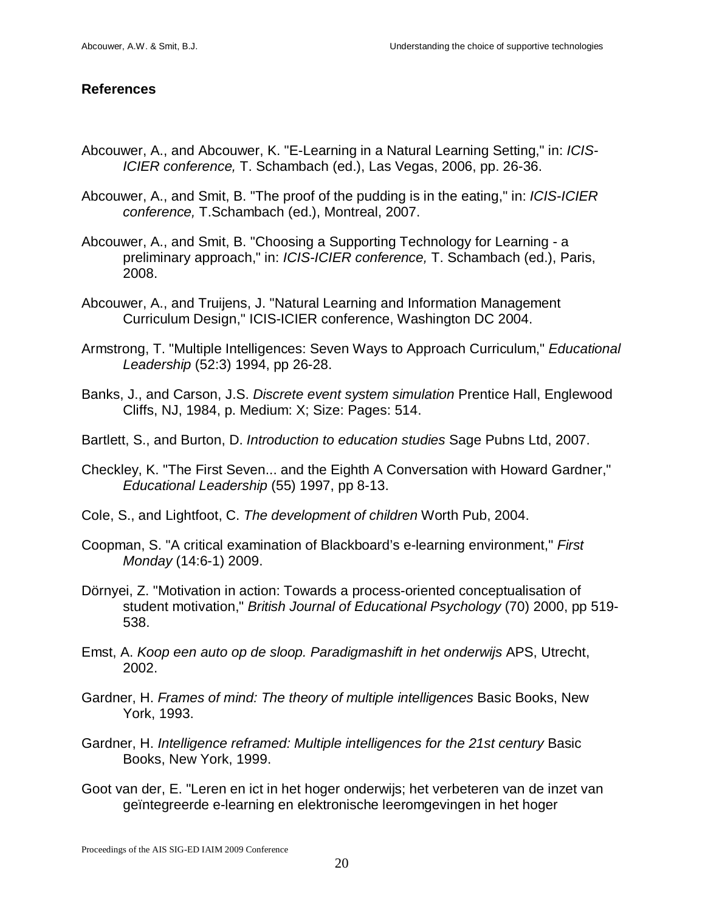### **References**

- Abcouwer, A., and Abcouwer, K. "E-Learning in a Natural Learning Setting," in: *ICIS-ICIER conference,* T. Schambach (ed.), Las Vegas, 2006, pp. 26-36.
- Abcouwer, A., and Smit, B. "The proof of the pudding is in the eating," in: *ICIS-ICIER conference,* T.Schambach (ed.), Montreal, 2007.
- Abcouwer, A., and Smit, B. "Choosing a Supporting Technology for Learning a preliminary approach," in: *ICIS-ICIER conference,* T. Schambach (ed.), Paris, 2008.
- Abcouwer, A., and Truijens, J. "Natural Learning and Information Management Curriculum Design," ICIS-ICIER conference, Washington DC 2004.
- Armstrong, T. "Multiple Intelligences: Seven Ways to Approach Curriculum," *Educational Leadership* (52:3) 1994, pp 26-28.
- Banks, J., and Carson, J.S. *Discrete event system simulation* Prentice Hall, Englewood Cliffs, NJ, 1984, p. Medium: X; Size: Pages: 514.
- Bartlett, S., and Burton, D. *Introduction to education studies* Sage Pubns Ltd, 2007.
- Checkley, K. "The First Seven... and the Eighth A Conversation with Howard Gardner," *Educational Leadership* (55) 1997, pp 8-13.
- Cole, S., and Lightfoot, C. *The development of children* Worth Pub, 2004.
- Coopman, S. "A critical examination of Blackboard's e-learning environment," *First Monday* (14:6-1) 2009.
- Dörnyei, Z. "Motivation in action: Towards a process-oriented conceptualisation of student motivation," *British Journal of Educational Psychology* (70) 2000, pp 519- 538.
- Emst, A. *Koop een auto op de sloop. Paradigmashift in het onderwijs* APS, Utrecht, 2002.
- Gardner, H. *Frames of mind: The theory of multiple intelligences* Basic Books, New York, 1993.
- Gardner, H. *Intelligence reframed: Multiple intelligences for the 21st century* Basic Books, New York, 1999.
- Goot van der, E. "Leren en ict in het hoger onderwijs; het verbeteren van de inzet van geïntegreerde e-learning en elektronische leeromgevingen in het hoger